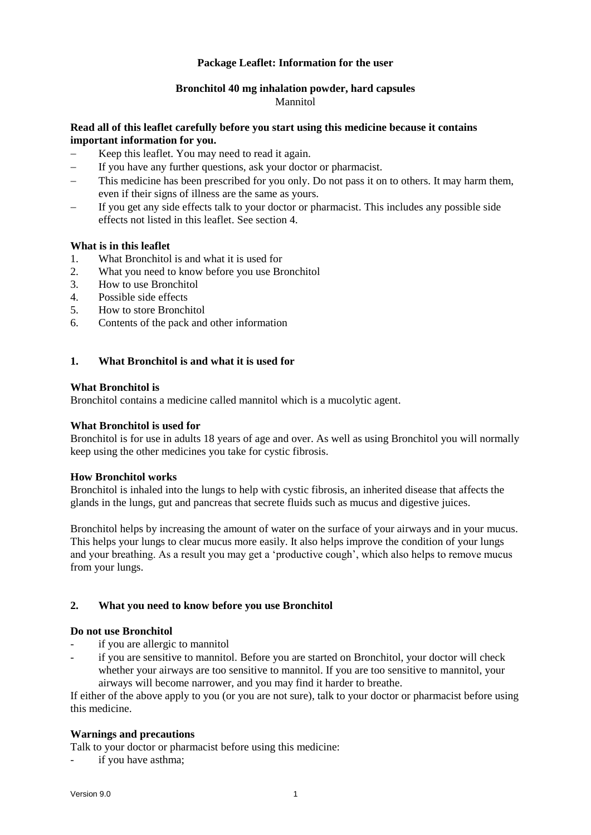# **Package Leaflet: Information for the user**

#### **Bronchitol 40 mg inhalation powder, hard capsules** Mannitol

# **Read all of this leaflet carefully before you start using this medicine because it contains important information for you.**

- Keep this leaflet. You may need to read it again.
- If you have any further questions, ask your doctor or pharmacist.
- This medicine has been prescribed for you only. Do not pass it on to others. It may harm them, even if their signs of illness are the same as yours.
- If you get any side effects talk to your doctor or pharmacist. This includes any possible side effects not listed in this leaflet. See section 4.

### **What is in this leaflet**

- 1. What Bronchitol is and what it is used for
- 2. What you need to know before you use Bronchitol
- 3. How to use Bronchitol
- 4. Possible side effects
- 5. How to store Bronchitol
- 6. Contents of the pack and other information

# **1. What Bronchitol is and what it is used for**

### **What Bronchitol is**

Bronchitol contains a medicine called mannitol which is a mucolytic agent.

### **What Bronchitol is used for**

Bronchitol is for use in adults 18 years of age and over. As well as using Bronchitol you will normally keep using the other medicines you take for cystic fibrosis.

### **How Bronchitol works**

Bronchitol is inhaled into the lungs to help with cystic fibrosis, an inherited disease that affects the glands in the lungs, gut and pancreas that secrete fluids such as mucus and digestive juices.

Bronchitol helps by increasing the amount of water on the surface of your airways and in your mucus. This helps your lungs to clear mucus more easily. It also helps improve the condition of your lungs and your breathing. As a result you may get a 'productive cough', which also helps to remove mucus from your lungs.

### **2. What you need to know before you use Bronchitol**

### **Do not use Bronchitol**

- if you are allergic to mannitol
- if you are sensitive to mannitol. Before you are started on Bronchitol, your doctor will check whether your airways are too sensitive to mannitol. If you are too sensitive to mannitol, your airways will become narrower, and you may find it harder to breathe.

If either of the above apply to you (or you are not sure), talk to your doctor or pharmacist before using this medicine.

### **Warnings and precautions**

Talk to your doctor or pharmacist before using this medicine:

if you have asthma;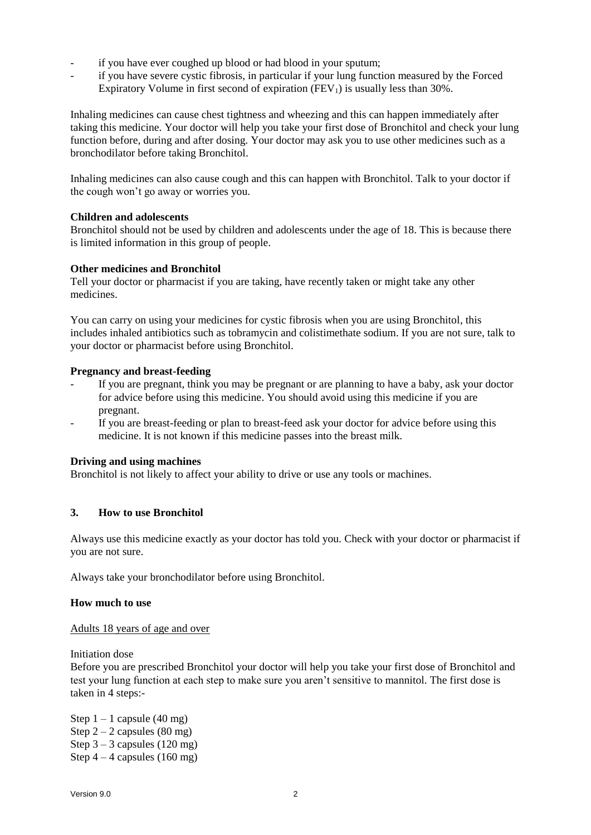- if you have ever coughed up blood or had blood in your sputum;
- if you have severe cystic fibrosis, in particular if your lung function measured by the Forced Expiratory Volume in first second of expiration  $(FEV_1)$  is usually less than 30%.

Inhaling medicines can cause chest tightness and wheezing and this can happen immediately after taking this medicine. Your doctor will help you take your first dose of Bronchitol and check your lung function before, during and after dosing. Your doctor may ask you to use other medicines such as a bronchodilator before taking Bronchitol.

Inhaling medicines can also cause cough and this can happen with Bronchitol. Talk to your doctor if the cough won't go away or worries you.

# **Children and adolescents**

Bronchitol should not be used by children and adolescents under the age of 18. This is because there is limited information in this group of people.

# **Other medicines and Bronchitol**

Tell your doctor or pharmacist if you are taking, have recently taken or might take any other medicines.

You can carry on using your medicines for cystic fibrosis when you are using Bronchitol, this includes inhaled antibiotics such as tobramycin and colistimethate sodium. If you are not sure, talk to your doctor or pharmacist before using Bronchitol.

# **Pregnancy and breast-feeding**

- If you are pregnant, think you may be pregnant or are planning to have a baby, ask your doctor for advice before using this medicine. You should avoid using this medicine if you are pregnant.
- If you are breast-feeding or plan to breast-feed ask your doctor for advice before using this medicine. It is not known if this medicine passes into the breast milk.

### **Driving and using machines**

Bronchitol is not likely to affect your ability to drive or use any tools or machines.

### **3. How to use Bronchitol**

Always use this medicine exactly as your doctor has told you. Check with your doctor or pharmacist if you are not sure.

Always take your bronchodilator before using Bronchitol.

### **How much to use**

Adults 18 years of age and over

Initiation dose

Before you are prescribed Bronchitol your doctor will help you take your first dose of Bronchitol and test your lung function at each step to make sure you aren't sensitive to mannitol. The first dose is taken in 4 steps:-

Step  $1 - 1$  capsule (40 mg) Step  $2 - 2$  capsules (80 mg) Step  $3 - 3$  capsules (120 mg) Step  $4 - 4$  capsules (160 mg)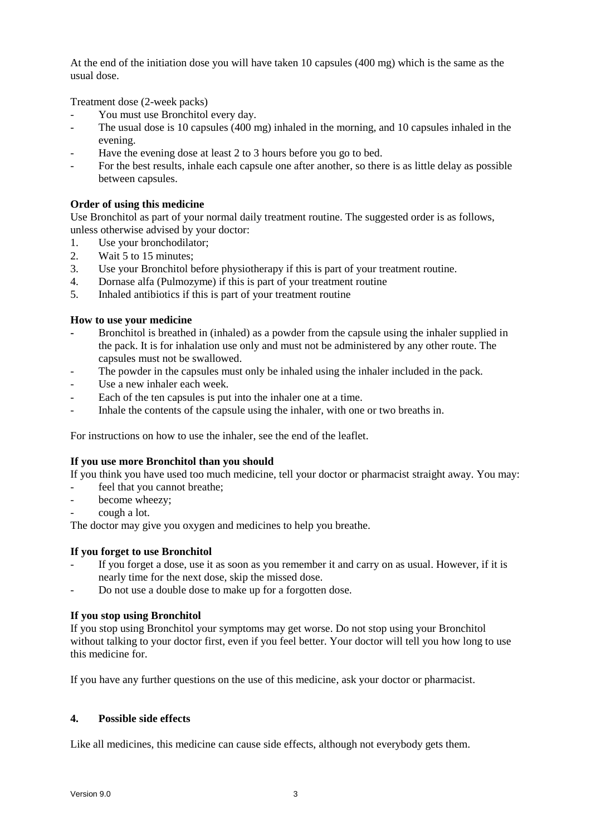At the end of the initiation dose you will have taken 10 capsules (400 mg) which is the same as the usual dose.

Treatment dose (2-week packs)

- You must use Bronchitol every day.
- The usual dose is 10 capsules (400 mg) inhaled in the morning, and 10 capsules inhaled in the evening.
- Have the evening dose at least 2 to 3 hours before you go to bed.
- For the best results, inhale each capsule one after another, so there is as little delay as possible between capsules.

# **Order of using this medicine**

Use Bronchitol as part of your normal daily treatment routine. The suggested order is as follows, unless otherwise advised by your doctor:

- 1. Use your bronchodilator;
- 2. Wait 5 to 15 minutes;
- 3. Use your Bronchitol before physiotherapy if this is part of your treatment routine.
- 4. Dornase alfa (Pulmozyme) if this is part of your treatment routine
- 5. Inhaled antibiotics if this is part of your treatment routine

# **How to use your medicine**

- **-** Bronchitol is breathed in (inhaled) as a powder from the capsule using the inhaler supplied in the pack. It is for inhalation use only and must not be administered by any other route. The capsules must not be swallowed.
- The powder in the capsules must only be inhaled using the inhaler included in the pack.
- Use a new inhaler each week.
- Each of the ten capsules is put into the inhaler one at a time.
- Inhale the contents of the capsule using the inhaler, with one or two breaths in.

For instructions on how to use the inhaler, see the end of the leaflet.

### **If you use more Bronchitol than you should**

If you think you have used too much medicine, tell your doctor or pharmacist straight away. You may:

- feel that you cannot breathe;
- become wheezy;
- cough a lot.

The doctor may give you oxygen and medicines to help you breathe.

### **If you forget to use Bronchitol**

- If you forget a dose, use it as soon as you remember it and carry on as usual. However, if it is nearly time for the next dose, skip the missed dose.
- Do not use a double dose to make up for a forgotten dose.

# **If you stop using Bronchitol**

If you stop using Bronchitol your symptoms may get worse. Do not stop using your Bronchitol without talking to your doctor first, even if you feel better. Your doctor will tell you how long to use this medicine for.

If you have any further questions on the use of this medicine, ask your doctor or pharmacist.

### **4. Possible side effects**

Like all medicines, this medicine can cause side effects, although not everybody gets them.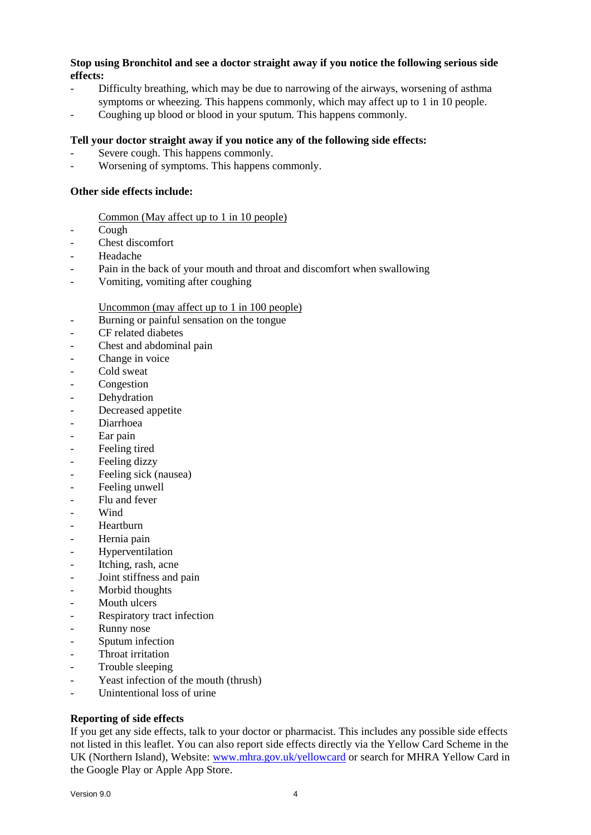# **Stop using Bronchitol and see a doctor straight away if you notice the following serious side effects:**

- Difficulty breathing, which may be due to narrowing of the airways, worsening of asthma symptoms or wheezing. This happens commonly, which may affect up to 1 in 10 people.
- Coughing up blood or blood in your sputum. This happens commonly.

### **Tell your doctor straight away if you notice any of the following side effects:**

- Severe cough. This happens commonly.
- Worsening of symptoms. This happens commonly.

# **Other side effects include:**

### Common (May affect up to 1 in 10 people)

- Cough
- Chest discomfort
- **Headache**
- Pain in the back of your mouth and throat and discomfort when swallowing
- Vomiting, vomiting after coughing

### Uncommon (may affect up to 1 in 100 people)

- Burning or painful sensation on the tongue
- CF related diabetes
- Chest and abdominal pain
- Change in voice
- Cold sweat
- **Congestion**
- Dehydration
- Decreased appetite
- Diarrhoea
- Ear pain
- Feeling tired
- Feeling dizzy
- Feeling sick (nausea)
- Feeling unwell
- Flu and fever
- Wind
- Heartburn
- Hernia pain
- Hyperventilation
- Itching, rash, acne
- Joint stiffness and pain
- Morbid thoughts
- Mouth ulcers
- Respiratory tract infection
- Runny nose
- Sputum infection
- Throat irritation
- Trouble sleeping
- Yeast infection of the mouth (thrush)
- Unintentional loss of urine

# **Reporting of side effects**

If you get any side effects, talk to your doctor or pharmacist. This includes any possible side effects not listed in this leaflet. You can also report side effects directly via the Yellow Card Scheme in the UK (Northern Island), Website: [www.mhra.gov.uk/yellowcard](http://www.mhra.gov.uk/yellowcard) or search for MHRA Yellow Card in the Google Play or Apple App Store.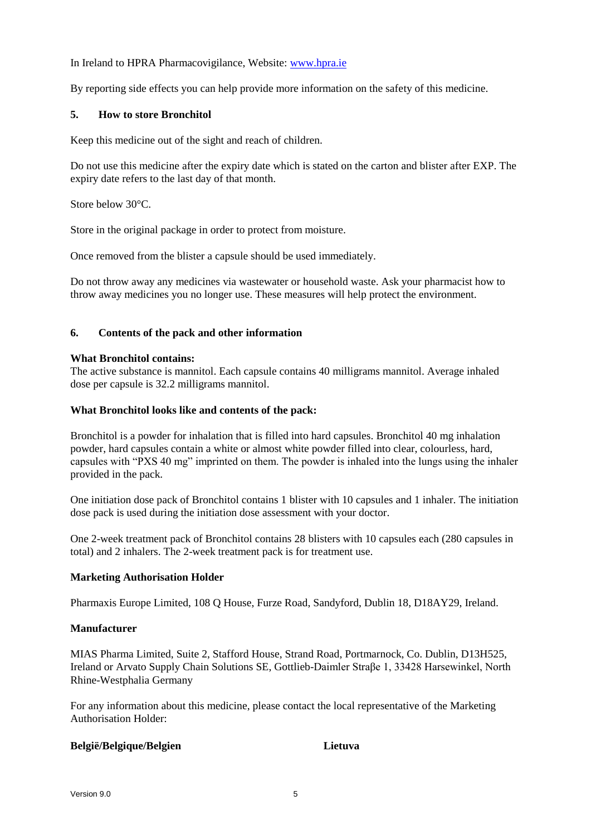In Ireland to HPRA Pharmacovigilance, Website: [www.hpra.ie](http://www.hpra.ie/)

By reporting side effects you can help provide more information on the safety of this medicine.

# **5. How to store Bronchitol**

Keep this medicine out of the sight and reach of children.

Do not use this medicine after the expiry date which is stated on the carton and blister after EXP. The expiry date refers to the last day of that month.

Store below 30°C.

Store in the original package in order to protect from moisture.

Once removed from the blister a capsule should be used immediately.

Do not throw away any medicines via wastewater or household waste. Ask your pharmacist how to throw away medicines you no longer use. These measures will help protect the environment.

# **6. Contents of the pack and other information**

### **What Bronchitol contains:**

The active substance is mannitol. Each capsule contains 40 milligrams mannitol. Average inhaled dose per capsule is 32.2 milligrams mannitol.

# **What Bronchitol looks like and contents of the pack:**

Bronchitol is a powder for inhalation that is filled into hard capsules. Bronchitol 40 mg inhalation powder, hard capsules contain a white or almost white powder filled into clear, colourless, hard, capsules with "PXS 40 mg" imprinted on them. The powder is inhaled into the lungs using the inhaler provided in the pack.

One initiation dose pack of Bronchitol contains 1 blister with 10 capsules and 1 inhaler. The initiation dose pack is used during the initiation dose assessment with your doctor.

One 2-week treatment pack of Bronchitol contains 28 blisters with 10 capsules each (280 capsules in total) and 2 inhalers. The 2-week treatment pack is for treatment use.

### **Marketing Authorisation Holder**

Pharmaxis Europe Limited, 108 Q House, Furze Road, Sandyford, Dublin 18, D18AY29, Ireland.

### **Manufacturer**

MIAS Pharma Limited, Suite 2, Stafford House, Strand Road, Portmarnock, Co. Dublin, D13H525, Ireland or Arvato Supply Chain Solutions SE, Gottlieb-Daimler Straβe 1, 33428 Harsewinkel, North Rhine-Westphalia Germany

For any information about this medicine, please contact the local representative of the Marketing Authorisation Holder:

### **België/Belgique/Belgien Lietuva**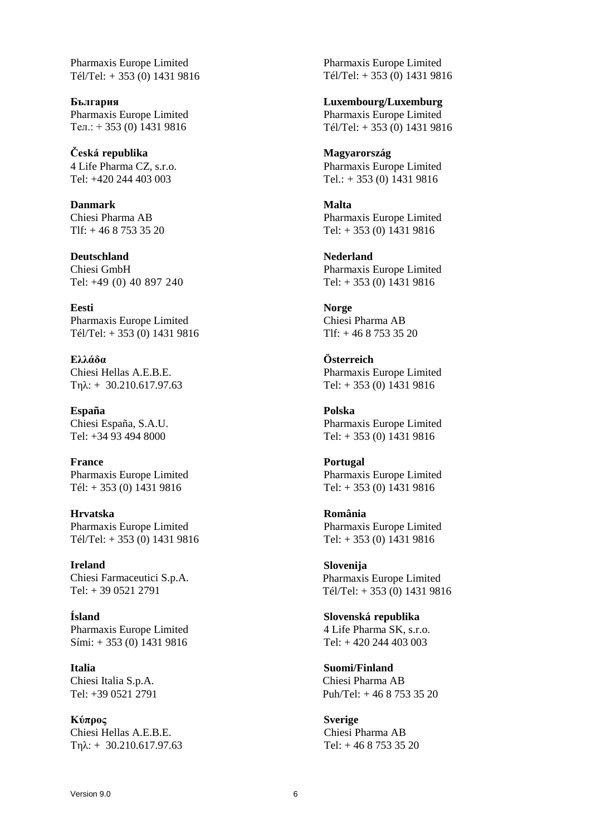Pharmaxis Europe Limited Tél/Tel: + 353 (0) 1431 9816

**България** Pharmaxis Europe Limited Teл.: + 353 (0) 1431 9816

**Česká republika** 4 Life Pharma CZ, s.r.o. Tel: +420 244 403 003

**Danmark** Chiesi Pharma AB Tlf: + 46 8 753 35 20

**Deutschland** Chiesi GmbH Tel: +49 (0) 40 897 240

**Eesti** Pharmaxis Europe Limited Tél/Tel: + 353 (0) 1431 9816

**Ελλάδα** Chiesi Hellas A.E.B.E. Τηλ: + 30.210.617.97.63

**España** Chiesi España, S.A.U. Tel: +34 93 494 8000

**France** Pharmaxis Europe Limited Tél: + 353 (0) 1431 9816

**Hrvatska** Pharmaxis Europe Limited Tél/Tel: + 353 (0) 1431 9816

**Ireland** Chiesi Farmaceutici S.p.A. Tel: + 39 0521 2791

**Ísland** Pharmaxis Europe Limited Sími: + 353 (0) 1431 9816

**Italia** Chiesi Italia S.p.A. Tel: +39 0521 2791

**Κύπρος** Chiesi Hellas A.E.B.E. Τηλ: + 30.210.617.97.63 Pharmaxis Europe Limited Tél/Tel: + 353 (0) 1431 9816

**Luxembourg/Luxemburg** Pharmaxis Europe Limited Tél/Tel: + 353 (0) 1431 9816

**Magyarország** Pharmaxis Europe Limited Tel.: + 353 (0) 1431 9816

**Malta** Pharmaxis Europe Limited Tel: + 353 (0) 1431 9816

**Nederland** Pharmaxis Europe Limited Tel: + 353 (0) 1431 9816

**Norge** Chiesi Pharma AB Tlf: + 46 8 753 35 20

**Österreich** Pharmaxis Europe Limited Tel: + 353 (0) 1431 9816

**Polska** Pharmaxis Europe Limited Tel: + 353 (0) 1431 9816

**Portugal** Pharmaxis Europe Limited Tel: + 353 (0) 1431 9816

**România** Pharmaxis Europe Limited Tel: + 353 (0) 1431 9816

**Slovenija** Pharmaxis Europe Limited Tél/Tel: + 353 (0) 1431 9816

**Slovenská republika** 4 Life Pharma SK, s.r.o. Tel: + 420 244 403 003

**Suomi/Finland** Chiesi Pharma AB Puh/Tel: + 46 8 753 35 20

**Sverige** Chiesi Pharma AB Tel: + 46 8 753 35 20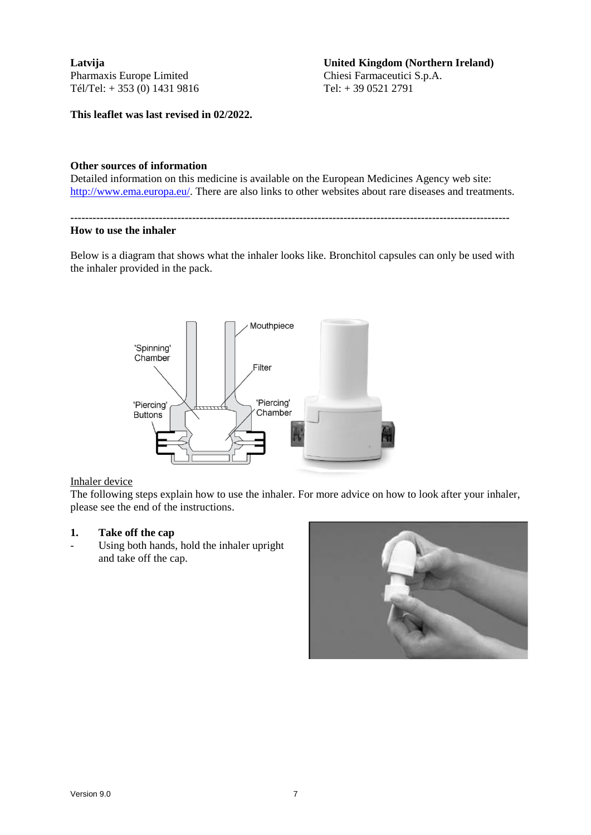**Latvija** Pharmaxis Europe Limited Tél/Tel: + 353 (0) 1431 9816

**This leaflet was last revised in 02/2022.**

#### **United Kingdom (Northern Ireland)** Chiesi Farmaceutici S.p.A. Tel: + 39 0521 2791

# **Other sources of information**

Detailed information on this medicine is available on the European Medicines Agency web site: [http://www.ema.europa.eu/.](http://www.ema.europa.eu/) There are also links to other websites about rare diseases and treatments.

**-----------------------------------------------------------------------------------------------------------------------**

#### **How to use the inhaler**

Below is a diagram that shows what the inhaler looks like. Bronchitol capsules can only be used with the inhaler provided in the pack.



### Inhaler device

The following steps explain how to use the inhaler. For more advice on how to look after your inhaler, please see the end of the instructions.

### **1. Take off the cap**

Using both hands, hold the inhaler upright and take off the cap.

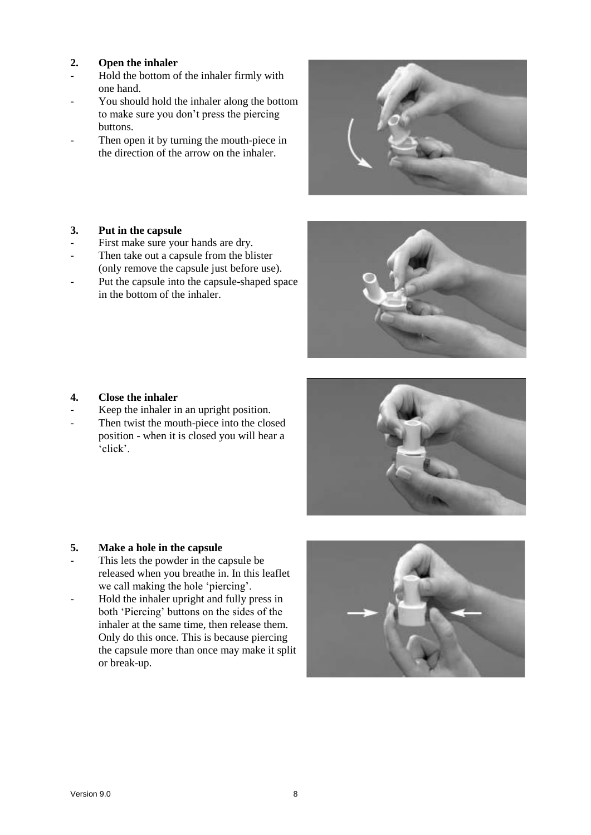# **2. Open the inhaler**

- Hold the bottom of the inhaler firmly with one hand.
- You should hold the inhaler along the bottom to make sure you don't press the piercing buttons.
- Then open it by turning the mouth-piece in the direction of the arrow on the inhaler.



# **3. Put in the capsule**

- First make sure your hands are dry.
- Then take out a capsule from the blister (only remove the capsule just before use).
- Put the capsule into the capsule-shaped space in the bottom of the inhaler.



- Keep the inhaler in an upright position.
- Then twist the mouth-piece into the closed position - when it is closed you will hear a 'click'.



- This lets the powder in the capsule be released when you breathe in. In this leaflet we call making the hole 'piercing'.
- Hold the inhaler upright and fully press in both 'Piercing' buttons on the sides of the inhaler at the same time, then release them. Only do this once. This is because piercing the capsule more than once may make it split or break-up.



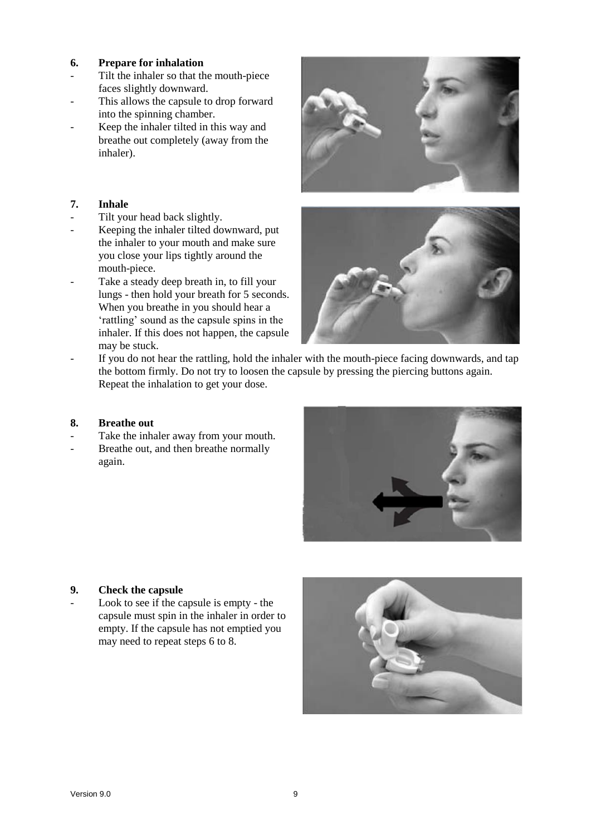- **6. Prepare for inhalation**
- Tilt the inhaler so that the mouth-piece faces slightly downward.
- This allows the capsule to drop forward into the spinning chamber.
- Keep the inhaler tilted in this way and breathe out completely (away from the inhaler).

# **7. Inhale**

- Tilt your head back slightly.
- Keeping the inhaler tilted downward, put the inhaler to your mouth and make sure you close your lips tightly around the mouth-piece.
- Take a steady deep breath in, to fill your lungs - then hold your breath for 5 seconds. When you breathe in you should hear a 'rattling' sound as the capsule spins in the inhaler. If this does not happen, the capsule may be stuck.





If you do not hear the rattling, hold the inhaler with the mouth-piece facing downwards, and tap the bottom firmly. Do not try to loosen the capsule by pressing the piercing buttons again. Repeat the inhalation to get your dose.

# **8. Breathe out**

- Take the inhaler away from your mouth.
- Breathe out, and then breathe normally again.



# **9. Check the capsule**

Look to see if the capsule is empty - the capsule must spin in the inhaler in order to empty. If the capsule has not emptied you may need to repeat steps 6 to 8.